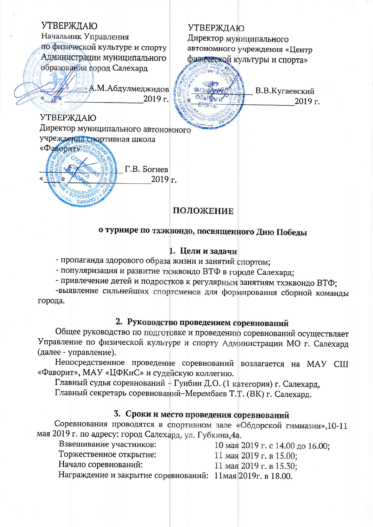**УТВЕРЖДАЮ УТВЕРЖДАЮ** Начальник Управления Директор муниципального по физической культуре и спорту автономного учреждения «Центр Администрации муниципального физической культуры и спорта» образования город Салехард — А.М.Абдулмеджидов В.В.Кугаевский 2019 г. 2019 г. **УТВЕРЖДАЮ** Директор муниципального автономного учреждения спортивная школа «Фаворит» нов Г.В. Богиев  $2019r.$ VEXVHL ПОЛОЖЕНИЕ

# о турнире по тхэквондо, посвященного Дню Победы

### 1. Цели и задачи

- пропаганда здорового образа жизни и занятий спортом;

- популяризация и развитие тхэквондо ВТФ в городе Салехард;

- привлечение детей и подростков к регулярным занятиям тхэквондо ВТФ;

-выявление сильнейших спортсменов для формирования сборной команды города.

# 2. Руководство проведением соревнований

Общее руководство по подготовке и проведению соревнований осуществляет Управление по физической культуре и спорту Администрации МО г. Салехард (далее - управление).

Непосредственное проведение соревнований возлагается на МАУ СШ «Фаворит», МАУ «ЦФКиС» и судейскую коллегию.

Главный судья соревнований + Гунбин Д.О. (1 категория) г. Салехард,

Главный секретарь соревнований-Мерембаев Т.Т. (ВК) г. Салехард.

### 3. Сроки и место проведения соревнований

Соревнования проводятся в спортивном зале «Обдорской гимназии», 10-11 мая 2019 г. по адресу: город Салехард, ул. Губкина, 4а.

| 3звешивание участников: | 10 мая 2019 г. с 14.00 до 16.00; |
|-------------------------|----------------------------------|
| горжественное открытие: | 11 мая 2019 г. в 15.00;          |

Начало соревнований:

11 мая 2019 г. в 15.30:

Награждение и закрытие соревнований: 11мая 2019г. в 18.00.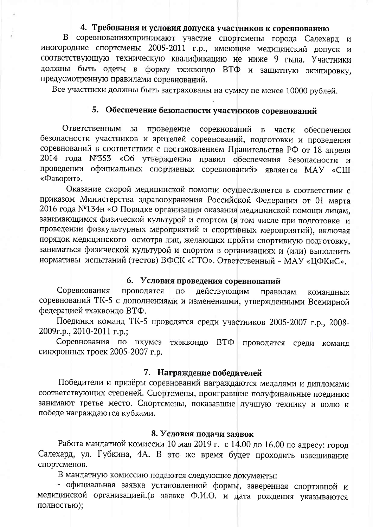# 4. Требования и условия допуска участников к соревнованию

В соревнованияхпринимают участие спортсмены города Салехард и иногородние спортсмены 2005-2011 г.р., имеющие медицинский допуск и соответствующую техническую квалификацию не ниже 9 гыпа. Участники должны быть одеты в форму тхэквондо ВТФ и защитную экипировку, предусмотренную правилами соревнований.

Все участники должны быть застрахованы на сумму не менее 10000 рублей.

### 5. Обеспечение безопасности участников соревнований

Ответственным  $3a$ проведение соревнований  $\mathbf{B}$ части обеспечения безопасности участников и зрителей соревнований, подготовки и проведения соревнований в соответствии с постановлением Правительства РФ от 18 апреля 2014 года Nº353 «Об утверждении правил обеспечения безопасности и проведении официальных спортивных соревнований» является МАУ «СШ «Фаворит».

Оказание скорой медицинской помощи осуществляется в соответствии с приказом Министерства здравоохранения Российской Федерации от 01 марта 2016 года №134н «О Порядке организации оказания медицинской помощи лицам, занимающимся физической культурой и спортом (в том числе при подготовке и проведении физкультурных мероприятий и спортивных мероприятий), включая порядок медицинского осмотра лиц, желающих пройти спортивную подготовку, заниматься физической культурой и спортом в организациях и (или) выполнить нормативы испытаний (тестов) ВФСК «ГТО». Ответственный - МАУ «ЦФКиС».

### 6. Условия проведения соревнований

Соревнования проводятся действующим  $\overline{a}$ правилам командных соревнований ТК-5 с дополнениями и изменениями, утвержденными Всемирной федерацией тхэквондо ВТФ.

Поединки команд ТК-5 проводятся среди участников 2005-2007 г.р., 2008- $2009r.p., 2010-2011 r.p.$ ;

Соревнования по пхумсэ ТХЭКВОНДО  $BT\Phi$ проводятся среди команд синхронных троек 2005-2007 г.р.

### 7. Награждение победителей

Победители и призёры соревнований награждаются медалями и дипломами соответствующих степеней. Спортсмены, проигравшие полуфинальные поединки занимают третье место. Спортсмены, показавшие лучшую технику и волю к победе награждаются кубками.

#### 8. Условия подачи заявок

Работа мандатной комиссии 10 мая 2019 г. с 14.00 до 16.00 по адресу: город Салехард, ул. Губкина, 4А. В это же время будет проходить взвешивание спортсменов.

В мандатную комиссию подаются следующие документы:

- официальная заявка установленной формы, заверенная спортивной и медицинской организацией.(в заявке Ф.И.О. и дата рождения указываются полностью);